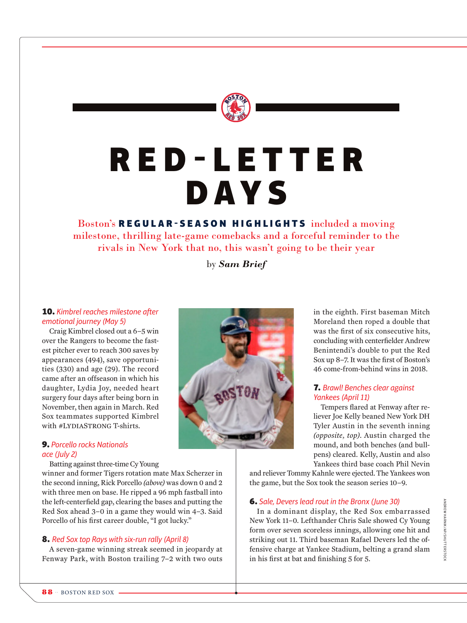

# R E D - L E T T E R DAYS

Boston's REGULAR-SEASON HIGHLIGHTS included a moving milestone, thrilling late-game comebacks and a forceful reminder to the rivals in New York that no, this wasn't going to be their year

by *Sam Brief*

# 10. *Kimbrel reaches milestone after emotional journey (May 5)*

Craig Kimbrel closed out a 6–5 win over the Rangers to become the fastest pitcher ever to reach 300 saves by appearances (494), save opportunities (330) and age (29). The record came after an offseason in which his daughter, Lydia Joy, needed heart surgery four days after being born in November, then again in March. Red Sox teammates supported Kimbrel with #LYDIASTRONG T-shirts.

#### 9. *Porcello rocks Nationals ace (July 2)*

#### Batting against three-time Cy Young

winner and former Tigers rotation mate Max Scherzer in the second inning, Rick Porcello *(above)* was down 0 and 2 with three men on base. He ripped a 96 mph fastball into the left-centerfield gap, clearing the bases and putting the Red Sox ahead 3–0 in a game they would win 4–3. Said Porcello of his first career double, "I got lucky."

# 8. *Red Sox top Rays with six-run rally (April 8)*

A seven-game winning streak seemed in jeopardy at Fenway Park, with Boston trailing 7–2 with two outs



in the eighth. First baseman Mitch Moreland then roped a double that was the first of six consecutive hits, concluding with centerfielder Andrew Benintendi's double to put the Red Sox up 8–7. It was the first of Boston's 46 come-from-behind wins in 2018.

# 7. *Brawl! Benches clear against Yankees (April 11)*

Tempers flared at Fenway after reliever Joe Kelly beaned New York DH Tyler Austin in the seventh inning *(opposite, top)*. Austin charged the mound, and both benches (and bullpens) cleared. Kelly, Austin and also Yankees third base coach Phil Nevin

and reliever Tommy Kahnle were ejected. The Yankees won the game, but the Sox took the season series 10–9.

# 6. *Sale, Devers lead rout in the Bronx (June 30)*

In a dominant display, the Red Sox embarrassed New York 11–0. Lefthander Chris Sale showed Cy Young form over seven scoreless innings, allowing one hit and striking out 11. Third baseman Rafael Devers led the offensive charge at Yankee Stadium, belting a grand slam in his first at bat and finishing 5 for 5.